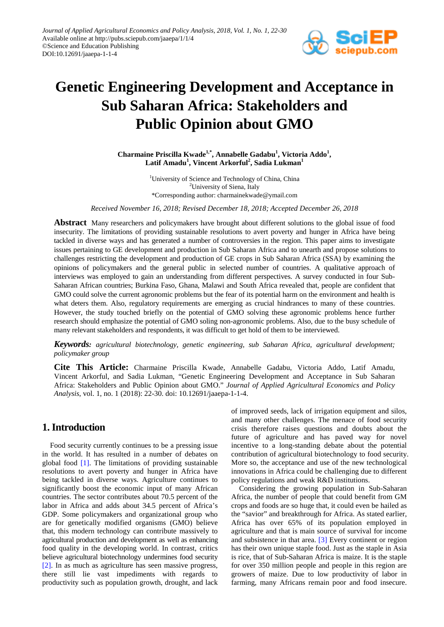

# **Genetic Engineering Development and Acceptance in Sub Saharan Africa: Stakeholders and Public Opinion about GMO**

Charmaine Priscilla Kwade<sup>1,\*</sup>, Annabelle Gadabu<sup>1</sup>, Victoria Addo<sup>1</sup>,  $\mathbf{L}$ atif Amadu<sup>1</sup>, Vincent Arkorful<sup>2</sup>, Sadia Lukman<sup>1</sup>

> <sup>1</sup>University of Science and Technology of China, China <sup>2</sup>University of Siena, Italy \*Corresponding author: charmainekwade@ymail.com

*Received November 16, 2018; Revised December 18, 2018; Accepted December 26, 2018*

**Abstract** Many researchers and policymakers have brought about different solutions to the global issue of food insecurity. The limitations of providing sustainable resolutions to avert poverty and hunger in Africa have being tackled in diverse ways and has generated a number of controversies in the region. This paper aims to investigate issues pertaining to GE development and production in Sub Saharan Africa and to unearth and propose solutions to challenges restricting the development and production of GE crops in Sub Saharan Africa (SSA) by examining the opinions of policymakers and the general public in selected number of countries. A qualitative approach of interviews was employed to gain an understanding from different perspectives. A survey conducted in four Sub-Saharan African countries; Burkina Faso, Ghana, Malawi and South Africa revealed that, people are confident that GMO could solve the current agronomic problems but the fear of its potential harm on the environment and health is what deters them. Also, regulatory requirements are emerging as crucial hindrances to many of these countries. However, the study touched briefly on the potential of GMO solving these agronomic problems hence further research should emphasize the potential of GMO soling non-agronomic problems. Also, due to the busy schedule of many relevant stakeholders and respondents, it was difficult to get hold of them to be interviewed.

*Keywords: agricultural biotechnology, genetic engineering, sub Saharan Africa, agricultural development; policymaker group*

**Cite This Article:** Charmaine Priscilla Kwade, Annabelle Gadabu, Victoria Addo, Latif Amadu, Vincent Arkorful, and Sadia Lukman, "Genetic Engineering Development and Acceptance in Sub Saharan Africa: Stakeholders and Public Opinion about GMO." *Journal of Applied Agricultural Economics and Policy Analysis*, vol. 1, no. 1 (2018): 22-30. doi: 10.12691/jaaepa-1-1-4.

## **1. Introduction**

Food security currently continues to be a pressing issue in the world. It has resulted in a number of debates on global food  $[1]$ . The limitations of providing sustainable resolutions to avert poverty and hunger in Africa have being tackled in diverse ways. Agriculture continues to significantly boost the economic input of many African countries. The sector contributes about 70.5 percent of the labor in Africa and adds about 34.5 percent of Africa's GDP. Some policymakers and organizational group who are for genetically modified organisms (GMO) believe that, this modern technology can contribute massively to agricultural production and development as well as enhancing food quality in the developing world. In contrast, critics believe agricultural biotechnology undermines food security [\[2\].](#page-7-1) In as much as agriculture has seen massive progress, there still lie vast impediments with regards to productivity such as population growth, drought, and lack

of improved seeds, lack of irrigation equipment and silos, and many other challenges. The menace of food security crisis therefore raises questions and doubts about the future of agriculture and has paved way for novel incentive to a long-standing debate about the potential contribution of agricultural biotechnology to food security. More so, the acceptance and use of the new technological innovations in Africa could be challenging due to different policy regulations and weak R&D institutions.

Considering the growing population in Sub-Saharan Africa, the number of people that could benefit from GM crops and foods are so huge that, it could even be hailed as the "savior" and breakthrough for Africa. As stated earlier, Africa has over 65% of its population employed in agriculture and that is main source of survival for income and subsistence in that area. [\[3\]](#page-7-2) Every continent or region has their own unique staple food. Just as the staple in Asia is rice, that of Sub-Saharan Africa is maize. It is the staple for over 350 million people and people in this region are growers of maize. Due to low productivity of labor in farming, many Africans remain poor and food insecure.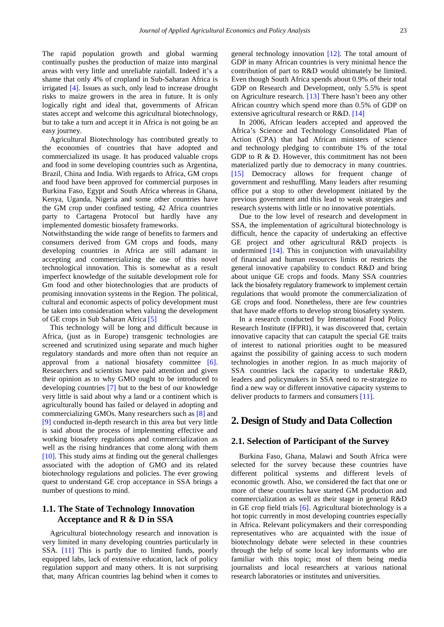The rapid population growth and global warming continually pushes the production of maize into marginal areas with very little and unreliable rainfall. Indeed it's a shame that only 4% of cropland in Sub-Saharan Africa is irrigated [\[4\].](#page-7-3) Issues as such, only lead to increase drought risks to maize growers in the area in future. It is only logically right and ideal that, governments of African states accept and welcome this agricultural biotechnology, but to take a turn and accept it in Africa is not going be an easy journey.

Agricultural Biotechnology has contributed greatly to the economies of countries that have adopted and commercialized its usage. It has produced valuable crops and food in some developing countries such as Argentina, Brazil, China and India. With regards to Africa, GM crops and food have been approved for commercial purposes in Burkina Faso, Egypt and South Africa whereas in Ghana, Kenya, Uganda, Nigeria and some other countries have the GM crop under confined testing. 42 Africa countries party to Cartagena Protocol but hardly have any implemented domestic biosafety frameworks.

Notwithstanding the wide range of benefits to farmers and consumers derived from GM crops and foods, many developing countries in Africa are still adamant in accepting and commercializing the use of this novel technological innovation. This is somewhat as a result imperfect knowledge of the suitable development role for Gm food and other biotechnologies that are products of promising innovation systems in the Region. The political, cultural and economic aspects of policy development must be taken into consideration when valuing the development of GE crops in Sub Saharan Africa [\[5\]](#page-7-4)

This technology will be long and difficult because in Africa, (just as in Europe) transgenic technologies are screened and scrutinized using separate and much higher regulatory standards and more often than not require an approval from a national biosafety committee [\[6\].](#page-7-5) Researchers and scientists have paid attention and given their opinion as to why GMO ought to be introduced to developing countries [\[7\]](#page-7-6) but to the best of our knowledge very little is said about why a land or a continent which is agriculturally bound has failed or delayed in adopting and commercializing GMOs. Many researchers such as [\[8\]](#page-7-7) and [\[9\]](#page-7-8) conducted in-depth research in this area but very little is said about the process of implementing effective and working biosafety regulations and commercialization as well as the rising hindrances that come along with them [\[10\].](#page-7-9) This study aims at finding out the general challenges associated with the adoption of GMO and its related biotechnology regulations and policies. The ever growing quest to understand GE crop acceptance in SSA brings a number of questions to mind.

#### **1.1. The State of Technology Innovation Acceptance and R & D in SSA**

Agricultural biotechnology research and innovation is very limited in many developing countries particularly in SSA. [\[11\]](#page-7-10) This is partly due to limited funds, poorly equipped labs, lack of extensive education, lack of policy regulation support and many others. It is not surprising that, many African countries lag behind when it comes to

general technology innovation [\[12\].](#page-7-11) The total amount of GDP in many African countries is very minimal hence the contribution of part to R&D would ultimately be limited. Even though South Africa spends about 0.9% of their total GDP on Research and Development, only 5.5% is spent on Agriculture research. [\[13\]](#page-7-12) There hasn't been any other African country which spend more than 0.5% of GDP on extensive agricultural research or R&D. [\[14\]](#page-7-13)

In 2006, African leaders accepted and approved the Africa's Science and Technology Consolidated Plan of Action (CPA) that had African ministers of science and technology pledging to contribute 1% of the total GDP to R & D. However, this commitment has not been materialized partly due to democracy in many countries. [\[15\]](#page-7-14) Democracy allows for frequent change of government and reshuffling. Many leaders after resuming office put a stop to other development initiated by the previous government and this lead to weak strategies and research systems with little or no innovative potentials.

Due to the low level of research and development in SSA, the implementation of agricultural biotechnology is difficult, hence the capacity of undertaking an effective GE project and other agricultural R&D projects is undermined  $[14]$ . This in conjunction with unavailability of financial and human resources limits or restricts the general innovative capability to conduct R&D and bring about unique GE crops and foods. Many SSA countries lack the biosafety regulatory framework to implement certain regulations that would promote the commercialization of GE crops and food. Nonetheless, there are few countries that have made efforts to develop strong biosafety system.

In a research conducted by International Food Policy Research Institute (IFPRI), it was discovered that, certain innovative capacity that can catapult the special GE traits of interest to national priorities ought to be measured against the possibility of gaining access to such modern technologies in another region. In as much majority of SSA countries lack the capacity to undertake R&D, leaders and policymakers in SSA need to re-strategize to find a new way or different innovative capacity systems to deliver products to farmers and consumers [\[11\].](#page-7-10)

# **2. Design of Study and Data Collection**

#### **2.1. Selection of Participant of the Survey**

Burkina Faso, Ghana, Malawi and South Africa were selected for the survey because these countries have different political systems and different levels of economic growth. Also, we considered the fact that one or more of these countries have started GM production and commercialization as well as their stage in general R&D in GE crop field trials [\[6\].](#page-7-5) Agricultural biotechnology is a hot topic currently in most developing countries especially in Africa. Relevant policymakers and their corresponding representatives who are acquainted with the issue of biotechnology debate were selected in these countries through the help of some local key informants who are familiar with this topic; most of them being media journalists and local researchers at various national research laboratories or institutes and universities.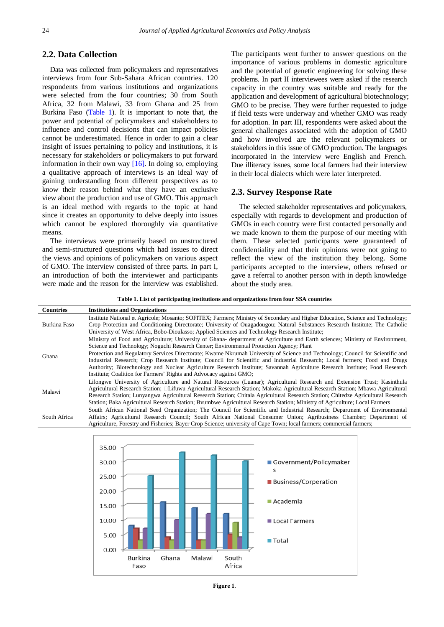#### **2.2. Data Collection**

Data was collected from policymakers and representatives interviews from four Sub-Sahara African countries. 120 respondents from various institutions and organizations were selected from the four countries; 30 from South Africa, 32 from Malawi, 33 from Ghana and 25 from Burkina Faso [\(Table 1\)](#page-2-0). It is important to note that, the power and potential of policymakers and stakeholders to influence and control decisions that can impact policies cannot be underestimated. Hence in order to gain a clear insight of issues pertaining to policy and institutions, it is necessary for stakeholders or policymakers to put forward information in their own way  $[16]$ . In doing so, employing a qualitative approach of interviews is an ideal way of gaining understanding from different perspectives as to know their reason behind what they have an exclusive view about the production and use of GMO. This approach is an ideal method with regards to the topic at hand since it creates an opportunity to delve deeply into issues which cannot be explored thoroughly via quantitative means.

The interviews were primarily based on unstructured and semi-structured questions which had issues to direct the views and opinions of policymakers on various aspect of GMO. The interview consisted of three parts. In part I, an introduction of both the interviewer and participants were made and the reason for the interview was established.

The participants went further to answer questions on the importance of various problems in domestic agriculture and the potential of genetic engineering for solving these problems. In part II interviewees were asked if the research capacity in the country was suitable and ready for the application and development of agricultural biotechnology; GMO to be precise. They were further requested to judge if field tests were underway and whether GMO was ready for adoption. In part III, respondents were asked about the general challenges associated with the adoption of GMO and how involved are the relevant policymakers or stakeholders in this issue of GMO production. The languages incorporated in the interview were English and French. Due illiteracy issues, some local farmers had their interview in their local dialects which were later interpreted.

#### **2.3. Survey Response Rate**

The selected stakeholder representatives and policymakers, especially with regards to development and production of GMOs in each country were first contacted personally and we made known to them the purpose of our meeting with them. These selected participants were guaranteed of confidentiality and that their opinions were not going to reflect the view of the institution they belong. Some participants accepted to the interview, others refused or gave a referral to another person with in depth knowledge about the study area.

**Table 1. List of participating institutions and organizations from four SSA countries**

<span id="page-2-0"></span>

| <b>Countries</b> | <b>Institutions and Organizations</b>                                                                                            |
|------------------|----------------------------------------------------------------------------------------------------------------------------------|
| Burkina Faso     | Institute National et Agricole; Mosanto; SOFITEX; Farmers; Ministry of Secondary and Higher Education, Science and Technology;   |
|                  | Crop Protection and Conditioning Directorate; University of Ouagadougou; Natural Substances Research Institute; The Catholic     |
|                  | University of West Africa, Bobo-Dioulasso; Applied Sciences and Technology Research Institute;                                   |
| Ghana            | Ministry of Food and Agriculture; University of Ghana-department of Agriculture and Earth sciences; Ministry of Environment,     |
|                  | Science and Technology; Noguchi Research Center; Environmental Protection Agency; Plant                                          |
|                  | Protection and Regulatory Services Directorate; Kwame Nkrumah University of Science and Technology; Council for Scientific and   |
|                  | Industrial Research; Crop Research Institute; Council for Scientific and Industrial Research; Local farmers; Food and Drugs      |
|                  | Authority; Biotechnology and Nuclear Agriculture Research Institute; Savannah Agriculture Research Institute; Food Research      |
|                  | Institute; Coalition for Farmers' Rights and Advocacy against GMO;                                                               |
| Malawi           | Lilongwe University of Agriculture and Natural Resources (Luanar); Agricultural Research and Extension Trust; Kasinthula         |
|                  | Agricultural Research Station; □Lifuwu Agricultural Research Station; Makoka Agricultural Research Station; Mbawa Agricultural   |
|                  | Research Station; Lunyangwa Agricultural Research Station; Chitala Agricultural Research Station; Chitedze Agricultural Research |
|                  | Station; Baka Agricultural Research Station; Byumbwe Agricultural Research Station; Ministry of Agriculture; Local Farmers       |
| South Africa     | South African National Seed Organization; The Council for Scientific and Industrial Research; Department of Environmental        |
|                  | Affairs; Agricultural Research Council; South African National Consumer Union; Agribusiness Chamber; Department of               |
|                  | Agriculture, Forestry and Fisheries; Bayer Crop Science; university of Cape Town; local farmers; commercial farmers;             |



**Figure 1**.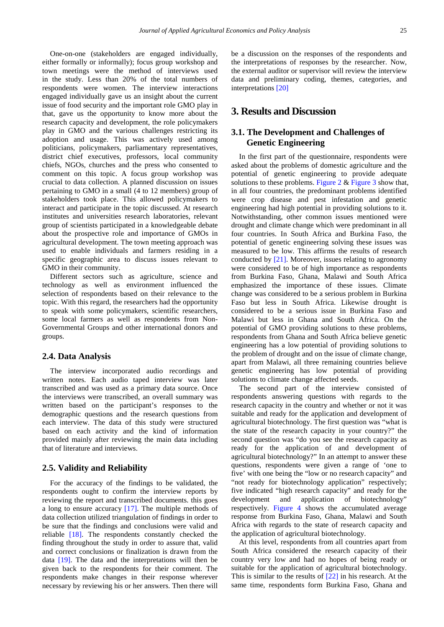One-on-one (stakeholders are engaged individually, either formally or informally); focus group workshop and town meetings were the method of interviews used in the study. Less than 20% of the total numbers of respondents were women. The interview interactions engaged individually gave us an insight about the current issue of food security and the important role GMO play in that, gave us the opportunity to know more about the research capacity and development, the role policymakers play in GMO and the various challenges restricting its adoption and usage. This was actively used among politicians, policymakers, parliamentary representatives, district chief executives, professors, local community chiefs, NGOs, churches and the press who consented to comment on this topic. A focus group workshop was crucial to data collection. A planned discussion on issues pertaining to GMO in a small (4 to 12 members) group of stakeholders took place. This allowed policymakers to interact and participate in the topic discussed. At research institutes and universities research laboratories, relevant group of scientists participated in a knowledgeable debate about the prospective role and importance of GMOs in agricultural development. The town meeting approach was used to enable individuals and farmers residing in a specific geographic area to discuss issues relevant to GMO in their community.

Different sectors such as agriculture, science and technology as well as environment influenced the selection of respondents based on their relevance to the topic. With this regard, the researchers had the opportunity to speak with some policymakers, scientific researchers, some local farmers as well as respondents from Non-Governmental Groups and other international donors and groups.

#### **2.4. Data Analysis**

The interview incorporated audio recordings and written notes. Each audio taped interview was later transcribed and was used as a primary data source. Once the interviews were transcribed, an overall summary was written based on the participant's responses to the demographic questions and the research questions from each interview. The data of this study were structured based on each activity and the kind of information provided mainly after reviewing the main data including that of literature and interviews.

#### **2.5. Validity and Reliability**

For the accuracy of the findings to be validated, the respondents ought to confirm the interview reports by reviewing the report and transcribed documents. this goes a long to ensure accuracy [\[17\].](#page-7-16) The multiple methods of data collection utilized triangulation of findings in order to be sure that the findings and conclusions were valid and reliable [\[18\].](#page-7-17) The respondents constantly checked the finding throughout the study in order to assure that, valid and correct conclusions or finalization is drawn from the data [\[19\].](#page-7-18) The data and the interpretations will then be given back to the respondents for their comment. The respondents make changes in their response wherever necessary by reviewing his or her answers. Then there will

be a discussion on the responses of the respondents and the interpretations of responses by the researcher. Now, the external auditor or supervisor will review the interview data and preliminary coding, themes, categories, and interpretations [\[20\]](#page-7-19)

# **3. Results and Discussion**

## **3.1. The Development and Challenges of Genetic Engineering**

In the first part of the questionnaire, respondents were asked about the problems of domestic agriculture and the potential of genetic engineering to provide adequate solutions to these problems. [Figure 2](#page-4-0)  $&$  [Figure 3](#page-4-1) show that, in all four countries, the predominant problems identified were crop disease and pest infestation and genetic engineering had high potential in providing solutions to it. Notwithstanding, other common issues mentioned were drought and climate change which were predominant in all four countries. In South Africa and Burkina Faso, the potential of genetic engineering solving these issues was measured to be low. This affirms the results of research conducted by [\[21\].](#page-7-20) Moreover, issues relating to agronomy were considered to be of high importance as respondents from Burkina Faso, Ghana, Malawi and South Africa emphasized the importance of these issues. Climate change was considered to be a serious problem in Burkina Faso but less in South Africa. Likewise drought is considered to be a serious issue in Burkina Faso and Malawi but less in Ghana and South Africa. On the potential of GMO providing solutions to these problems, respondents from Ghana and South Africa believe genetic engineering has a low potential of providing solutions to the problem of drought and on the issue of climate change, apart from Malawi, all three remaining countries believe genetic engineering has low potential of providing solutions to climate change affected seeds.

The second part of the interview consisted of respondents answering questions with regards to the research capacity in the country and whether or not it was suitable and ready for the application and development of agricultural biotechnology. The first question was "what is the state of the research capacity in your country?" the second question was "do you see the research capacity as ready for the application of and development of agricultural biotechnology?" In an attempt to answer these questions, respondents were given a range of 'one to five' with one being the "low or no research capacity" and "not ready for biotechnology application" respectively; five indicated "high research capacity" and ready for the development and application of biotechnology" respectively. [Figure 4](#page-5-0) shows the accumulated average response from Burkina Faso, Ghana, Malawi and South Africa with regards to the state of research capacity and the application of agricultural biotechnology.

At this level, respondents from all countries apart from South Africa considered the research capacity of their country very low and had no hopes of being ready or suitable for the application of agricultural biotechnology. This is similar to the results of [\[22\]](#page-7-21) in his research. At the same time, respondents form Burkina Faso, Ghana and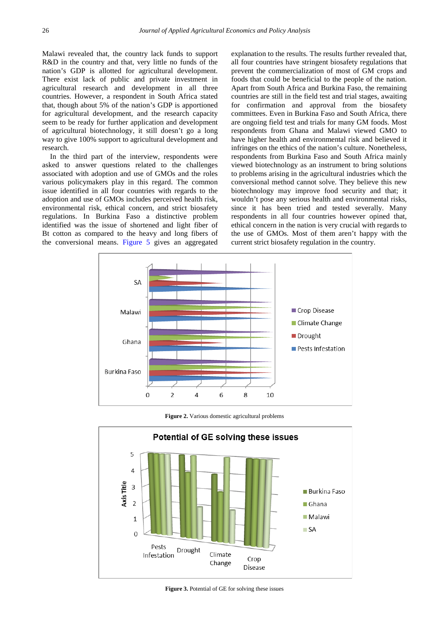Malawi revealed that, the country lack funds to support R&D in the country and that, very little no funds of the nation's GDP is allotted for agricultural development. There exist lack of public and private investment in agricultural research and development in all three countries. However, a respondent in South Africa stated that, though about 5% of the nation's GDP is apportioned for agricultural development, and the research capacity seem to be ready for further application and development of agricultural biotechnology, it still doesn't go a long way to give 100% support to agricultural development and research.

In the third part of the interview, respondents were asked to answer questions related to the challenges associated with adoption and use of GMOs and the roles various policymakers play in this regard. The common issue identified in all four countries with regards to the adoption and use of GMOs includes perceived health risk, environmental risk, ethical concern, and strict biosafety regulations. In Burkina Faso a distinctive problem identified was the issue of shortened and light fiber of Bt cotton as compared to the heavy and long fibers of the conversional means. [Figure 5](#page-5-1) gives an aggregated explanation to the results. The results further revealed that, all four countries have stringent biosafety regulations that prevent the commercialization of most of GM crops and foods that could be beneficial to the people of the nation. Apart from South Africa and Burkina Faso, the remaining countries are still in the field test and trial stages, awaiting for confirmation and approval from the biosafety committees. Even in Burkina Faso and South Africa, there are ongoing field test and trials for many GM foods. Most respondents from Ghana and Malawi viewed GMO to have higher health and environmental risk and believed it infringes on the ethics of the nation's culture. Nonetheless, respondents from Burkina Faso and South Africa mainly viewed biotechnology as an instrument to bring solutions to problems arising in the agricultural industries which the conversional method cannot solve. They believe this new biotechnology may improve food security and that; it wouldn't pose any serious health and environmental risks, since it has been tried and tested severally. Many respondents in all four countries however opined that, ethical concern in the nation is very crucial with regards to the use of GMOs. Most of them aren't happy with the current strict biosafety regulation in the country.

<span id="page-4-0"></span>

**Figure 2.** Various domestic agricultural problems

<span id="page-4-1"></span>

**Figure 3.** Potential of GE for solving these issues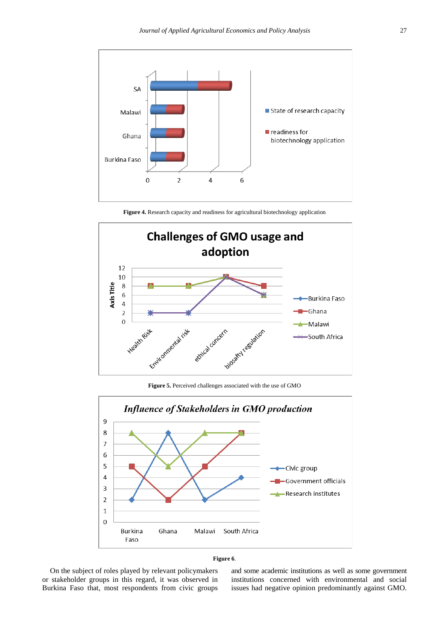<span id="page-5-0"></span>

**Figure 4.** Research capacity and readiness for agricultural biotechnology application

<span id="page-5-1"></span>

**Figure 5.** Perceived challenges associated with the use of GMO

<span id="page-5-2"></span>



On the subject of roles played by relevant policymakers or stakeholder groups in this regard, it was observed in Burkina Faso that, most respondents from civic groups

and some academic institutions as well as some government institutions concerned with environmental and social issues had negative opinion predominantly against GMO.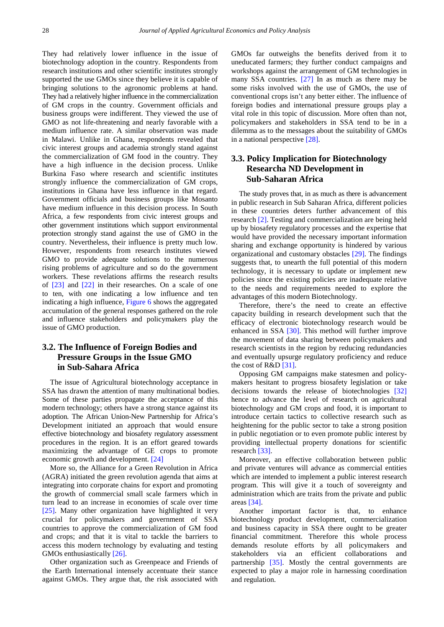They had relatively lower influence in the issue of biotechnology adoption in the country. Respondents from research institutions and other scientific institutes strongly supported the use GMOs since they believe it is capable of bringing solutions to the agronomic problems at hand. They had a relatively higher influence in the commercialization of GM crops in the country. Government officials and business groups were indifferent. They viewed the use of GMO as not life-threatening and nearly favorable with a medium influence rate. A similar observation was made in Malawi. Unlike in Ghana, respondents revealed that civic interest groups and academia strongly stand against the commercialization of GM food in the country. They have a high influence in the decision process. Unlike Burkina Faso where research and scientific institutes strongly influence the commercialization of GM crops, institutions in Ghana have less influence in that regard. Government officials and business groups like Mosanto have medium influence in this decision process. In South Africa, a few respondents from civic interest groups and other government institutions which support environmental protection strongly stand against the use of GMO in the country. Nevertheless, their influence is pretty much low. However, respondents from research institutes viewed GMO to provide adequate solutions to the numerous rising problems of agriculture and so do the government workers. These revelations affirms the research results of [\[23\]](#page-7-22) and [\[22\]](#page-7-21) in their researches. On a scale of one to ten, with one indicating a low influence and ten indicating a high influence, [Figure 6](#page-5-2) shows the aggregated accumulation of the general responses gathered on the role and influence stakeholders and policymakers play the issue of GMO production.

## **3.2. The Influence of Foreign Bodies and Pressure Groups in the Issue GMO in Sub-Sahara Africa**

The issue of Agricultural biotechnology acceptance in SSA has drawn the attention of many multinational bodies. Some of these parties propagate the acceptance of this modern technology; others have a strong stance against its adoption. The African Union-New Partnership for Africa's Development initiated an approach that would ensure effective biotechnology and biosafety regulatory assessment procedures in the region. It is an effort geared towards maximizing the advantage of GE crops to promote economic growth and development. [\[24\]](#page-7-23)

More so, the Alliance for a Green Revolution in Africa (AGRA) initiated the green revolution agenda that aims at integrating into corporate chains for export and promoting the growth of commercial small scale farmers which in turn lead to an increase in economies of scale over time [\[25\].](#page-7-24) Many other organization have highlighted it very crucial for policymakers and government of SSA countries to approve the commercialization of GM food and crops; and that it is vital to tackle the barriers to access this modern technology by evaluating and testing GMOs enthusiastically [\[26\].](#page-7-25)

Other organization such as Greenpeace and Friends of the Earth International intensely accentuate their stance against GMOs. They argue that, the risk associated with GMOs far outweighs the benefits derived from it to uneducated farmers; they further conduct campaigns and workshops against the arrangement of GM technologies in many SSA countries. [\[27\]](#page-7-26) In as much as there may be some risks involved with the use of GMOs, the use of conventional crops isn't any better either. The influence of foreign bodies and international pressure groups play a vital role in this topic of discussion. More often than not, policymakers and stakeholders in SSA tend to be in a dilemma as to the messages about the suitability of GMOs in a national perspective [\[28\].](#page-7-27)

## **3.3. Policy Implication for Biotechnology Researcha ND Development in Sub-Saharan Africa**

The study proves that, in as much as there is advancement in public research in Sub Saharan Africa, different policies in these countries deters further advancement of this research [\[2\].](#page-7-1) Testing and commercialization are being held up by biosafety regulatory processes and the expertise that would have provided the necessary important information sharing and exchange opportunity is hindered by various organizational and customary obstacles [\[29\].](#page-8-0) The findings suggests that, to unearth the full potential of this modern technology, it is necessary to update or implement new policies since the existing policies are inadequate relative to the needs and requirements needed to explore the advantages of this modern Biotechnology.

Therefore, there's the need to create an effective capacity building in research development such that the efficacy of electronic biotechnology research would be enhanced in SSA [\[30\].](#page-8-1) This method will further improve the movement of data sharing between policymakers and research scientists in the region by reducing redundancies and eventually upsurge regulatory proficiency and reduce the cost of R&D [\[31\].](#page-8-2)

Opposing GM campaigns make statesmen and policymakers hesitant to progress biosafety legislation or take decisions towards the release of biotechnologies [\[32\]](#page-8-3) hence to advance the level of research on agricultural biotechnology and GM crops and food, it is important to introduce certain tactics to collective research such as heightening for the public sector to take a strong position in public negotiation or to even promote public interest by providing intellectual property donations for scientific research [\[33\].](#page-8-4)

Moreover, an effective collaboration between public and private ventures will advance as commercial entities which are intended to implement a public interest research program. This will give it a touch of sovereignty and administration which are traits from the private and public areas [\[34\].](#page-8-5)

Another important factor is that, to enhance biotechnology product development, commercialization and business capacity in SSA there ought to be greater financial commitment. Therefore this whole process demands resolute efforts by all policymakers and stakeholders via an efficient collaborations and partnership [\[35\].](#page-8-6) Mostly the central governments are expected to play a major role in harnessing coordination and regulation.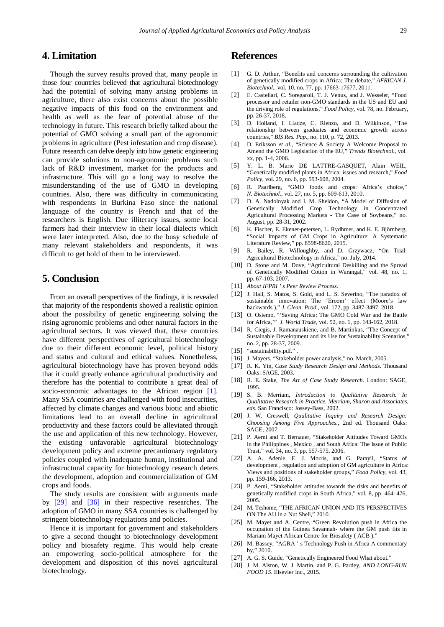## **4. Limitation**

Though the survey results proved that, many people in those four countries believed that agricultural biotechnology had the potential of solving many arising problems in agriculture, there also exist concerns about the possible negative impacts of this food on the environment and health as well as the fear of potential abuse of the technology in future. This research briefly talked about the potential of GMO solving a small part of the agronomic problems in agriculture (Pest infestation and crop disease). Future research can delve deeply into how genetic engineering can provide solutions to non-agronomic problems such lack of R&D investment, market for the products and infrastructure. This will go a long way to resolve the misunderstanding of the use of GMO in developing countries. Also, there was difficulty in communicating with respondents in Burkina Faso since the national language of the country is French and that of the researchers is English. Due illiteracy issues, some local farmers had their interview in their local dialects which were later interpreted. Also, due to the busy schedule of many relevant stakeholders and respondents, it was difficult to get hold of them to be interviewed.

# **5. Conclusion**

From an overall perspectives of the findings, it is revealed that majority of the respondents showed a realistic opinion about the possibility of genetic engineering solving the rising agronomic problems and other natural factors in the agricultural sectors. It was viewed that, these countries have different perspectives of agricultural biotechnology due to their different economic level, political history and status and cultural and ethical values. Nonetheless, agricultural biotechnology have has proven beyond odds that it could greatly enhance agricultural productivity and therefore has the potential to contribute a great deal of socio-economic advantages to the African region [\[1\].](#page-7-0) Many SSA countries are challenged with food insecurities, affected by climate changes and various biotic and abiotic limitations lead to an overall decline in agricultural productivity and these factors could be alleviated through the use and application of this new technology. However, the existing unfavorable agricultural biotechnology development policy and extreme precautionary regulatory policies coupled with inadequate human, institutional and infrastructural capacity for biotechnology research deters the development, adoption and commercialization of GM crops and foods.

The study results are consistent with arguments made by [\[29\]](#page-8-0) and [\[36\]](#page-8-7) in their respective researches. The adoption of GMO in many SSA countries is challenged by stringent biotechnology regulations and policies.

Hence it is important for government and stakeholders to give a second thought to biotechnology development policy and biosafety regime. This would help create an empowering socio-political atmosphere for the development and disposition of this novel agricultural biotechnology.

## **References**

- <span id="page-7-0"></span>[1] G. D. Arthur, "Benefits and concerns surrounding the cultivation of genetically modified crops in Africa: The debate," *AFRICAN J. Biotechnol.*, vol. 10, no. 77, pp. 17663-17677, 2011.
- <span id="page-7-1"></span>[2] E. Castellari, C. Soregaroli, T. J. Venus, and J. Wesseler, "Food processor and retailer non-GMO standards in the US and EU and the driving role of regulations," *Food Policy*, vol. 78, no. February, pp. 26-37, 2018.
- <span id="page-7-2"></span>[3] D. Holland, I. Liadze, C. Rienzo, and D. Wilkinson, "The relationship between graduates and economic growth across countries," *BIS Res. Pap.*, no. 110, p. 72, 2013.
- <span id="page-7-3"></span>[4] D. Eriksson *et al.*, "Science & Society A Welcome Proposal to Amend the GMO Legislation of the EU," *Trends Biotechnol.*, vol. xx, pp. 1-4, 2006.
- <span id="page-7-4"></span>[5] Y. L. B. Marie DE LATTRE-GASOUET, Alain WEIL, "Genetically modified plants in Africa: issues and research," *Food Policy*, vol. 29, no. 6, pp. 593-608, 2004.
- <span id="page-7-5"></span>[6] R. Paarlberg, "GMO foods and crops: Africa's choice," *N. Biotechnol.*, vol. 27, no. 5, pp. 609-613, 2010.
- <span id="page-7-6"></span>[7] D. A. Nadolnyak and I. M. Sheldon, "A Model of Diffusion of Genetically Modified Crop Technology in Concentrated Agricultural Processing Markets - The Case of Soybeans," no. August, pp. 28-31, 2002.
- <span id="page-7-7"></span>[8] K. Fischer, E. Ekener-petersen, L. Rydhmer, and K. E. Björnberg, "Social Impacts of GM Crops in Agriculture: A Systematic Literature Review," pp. 8598-8620, 2015.
- <span id="page-7-8"></span>[9] R. Bailey, R. Willoughby, and D. Grzywacz, "On Trial: Agricultural Biotechnology in Africa," no. July, 2014.
- <span id="page-7-9"></span>[10] D. Stone and M. Dove, "Agricultural Deskilling and the Spread of Genetically Modified Cotton in Warangal," vol. 48, no. 1, pp. 67-103, 2007.
- <span id="page-7-10"></span>[11] *About IFPRI ' s Peer Review Process*.
- <span id="page-7-11"></span>[12] J. Hall, S. Matos, S. Gold, and L. S. Severino, "The paradox of sustainable innovation: The 'Eroom' effect (Moore's law backwards )," *J. Clean. Prod.*, vol. 172, pp. 3487-3497, 2018.
- <span id="page-7-12"></span>[13] O. Osiemo, "'Saving Africa: The GMO Cold War and the Battle for Africa,'" *J. World Trade*, vol. 52, no. 1, pp. 143-162, 2018.
- <span id="page-7-13"></span>[14] R. Ciegis, J. Ramanauskiene, and B. Martinkus, "The Concept of Sustainable Development and its Use for Sustainability Scenarios," no. 2, pp. 28-37, 2009.
- <span id="page-7-14"></span>[15] "sustainability.pdf."
- <span id="page-7-15"></span>[16] J. Mayers, "Stakeholder power analysis," no. March, 2005.
- <span id="page-7-16"></span>[17] R. K. Yin, *Case Study Research Design and Methods*. Thousand Oaks: SAGE, 2003.
- <span id="page-7-17"></span>[18] R. E. Stake, *The Art of Case Study Research*. London: SAGE, 1995.
- <span id="page-7-18"></span>[19] S. B. Merriam, *Introduction to Qualitative Research. In Qualitative Research in Practice. Merriam, Sharon and Associates, eds*. San Francisco: Jossey-Bass, 2002.
- <span id="page-7-19"></span>[20] J. W. Creswell, *Qualitative Inquiry and Research Design: Choosing Among Five Approaches.*, 2nd ed. Thousand Oaks: SAGE, 2007.
- <span id="page-7-20"></span>[21] P. Aerni and T. Bernauer, "Stakeholder Attitudes Toward GMOs in the Philippines , Mexico , and South Africa: The Issue of Public Trust," vol. 34, no. 3, pp. 557-575, 2006.
- <span id="page-7-21"></span>[22] A. A. Adenle, E. J. Morris, and G. Parayil, "Status of development , regulation and adoption of GM agriculture in Africa: Views and positions of stakeholder groups," *Food Policy*, vol. 43, pp. 159-166, 2013.
- <span id="page-7-22"></span>[23] P. Aerni, "Stakeholder attitudes towards the risks and benefits of genetically modified crops in South Africa," vol. 8, pp. 464–476, 2005.
- <span id="page-7-23"></span>[24] M. Teshome, "THE AFRICAN UNION AND ITS PERSPECTIVES ON The AU in a Nut Shell," 2010.
- <span id="page-7-24"></span>[25] M. Mayet and A. Centre, "Green Revolution push in Africa the occupation of the Guinea Savannah- where the GM push fits in Mariam Mayet African Centre for Biosafety ( ACB )."
- <span id="page-7-25"></span>[26] M. Bassey, "AGRA' s Technology Push in Africa A commentary by," 2010.
- <span id="page-7-26"></span>[27] A. G. S. Guide, "Genetically Engineered Food What about."
- <span id="page-7-27"></span>[28] J. M. Alston, W. J. Martin, and P. G. Pardey, *AND LONG-RUN FOOD 15*. Elsevier Inc., 2015.